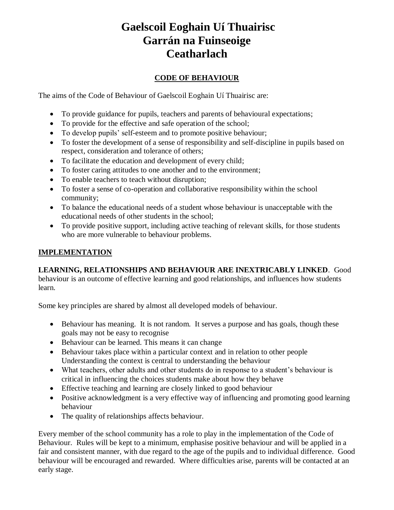# **Gaelscoil Eoghain Uí Thuairisc Garrán na Fuinseoige Ceatharlach**

## **CODE OF BEHAVIOUR**

The aims of the Code of Behaviour of Gaelscoil Eoghain Uí Thuairisc are:

- To provide guidance for pupils, teachers and parents of behavioural expectations;
- To provide for the effective and safe operation of the school;
- To develop pupils' self-esteem and to promote positive behaviour;
- To foster the development of a sense of responsibility and self-discipline in pupils based on respect, consideration and tolerance of others;
- To facilitate the education and development of every child;
- To foster caring attitudes to one another and to the environment;
- To enable teachers to teach without disruption;
- To foster a sense of co-operation and collaborative responsibility within the school community;
- To balance the educational needs of a student whose behaviour is unacceptable with the educational needs of other students in the school;
- To provide positive support, including active teaching of relevant skills, for those students who are more vulnerable to behaviour problems.

## **IMPLEMENTATION**

## **LEARNING, RELATIONSHIPS AND BEHAVIOUR ARE INEXTRICABLY LINKED**. Good

behaviour is an outcome of effective learning and good relationships, and influences how students learn.

Some key principles are shared by almost all developed models of behaviour.

- Behaviour has meaning. It is not random. It serves a purpose and has goals, though these goals may not be easy to recognise
- Behaviour can be learned. This means it can change
- Behaviour takes place within a particular context and in relation to other people Understanding the context is central to understanding the behaviour
- What teachers, other adults and other students do in response to a student's behaviour is critical in influencing the choices students make about how they behave
- Effective teaching and learning are closely linked to good behaviour
- Positive acknowledgment is a very effective way of influencing and promoting good learning behaviour
- The quality of relationships affects behaviour.

Every member of the school community has a role to play in the implementation of the Code of Behaviour. Rules will be kept to a minimum, emphasise positive behaviour and will be applied in a fair and consistent manner, with due regard to the age of the pupils and to individual difference. Good behaviour will be encouraged and rewarded. Where difficulties arise, parents will be contacted at an early stage.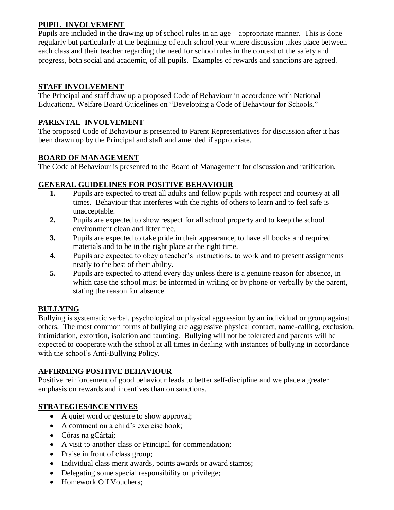## **PUPIL INVOLVEMENT**

Pupils are included in the drawing up of school rules in an age – appropriate manner. This is done regularly but particularly at the beginning of each school year where discussion takes place between each class and their teacher regarding the need for school rules in the context of the safety and progress, both social and academic, of all pupils. Examples of rewards and sanctions are agreed.

#### **STAFF INVOLVEMENT**

The Principal and staff draw up a proposed Code of Behaviour in accordance with National Educational Welfare Board Guidelines on "Developing a Code of Behaviour for Schools."

#### **PARENTAL INVOLVEMENT**

The proposed Code of Behaviour is presented to Parent Representatives for discussion after it has been drawn up by the Principal and staff and amended if appropriate.

## **BOARD OF MANAGEMENT**

The Code of Behaviour is presented to the Board of Management for discussion and ratification.

#### **GENERAL GUIDELINES FOR POSITIVE BEHAVIOUR**

- **1.** Pupils are expected to treat all adults and fellow pupils with respect and courtesy at all times. Behaviour that interferes with the rights of others to learn and to feel safe is unacceptable.
- **2.** Pupils are expected to show respect for all school property and to keep the school environment clean and litter free.
- **3.** Pupils are expected to take pride in their appearance, to have all books and required materials and to be in the right place at the right time.
- **4.** Pupils are expected to obey a teacher's instructions, to work and to present assignments neatly to the best of their ability.
- **5.** Pupils are expected to attend every day unless there is a genuine reason for absence, in which case the school must be informed in writing or by phone or verbally by the parent, stating the reason for absence.

## **BULLYING**

Bullying is systematic verbal, psychological or physical aggression by an individual or group against others. The most common forms of bullying are aggressive physical contact, name-calling, exclusion, intimidation, extortion, isolation and taunting. Bullying will not be tolerated and parents will be expected to cooperate with the school at all times in dealing with instances of bullying in accordance with the school's Anti-Bullying Policy.

#### **AFFIRMING POSITIVE BEHAVIOUR**

Positive reinforcement of good behaviour leads to better self-discipline and we place a greater emphasis on rewards and incentives than on sanctions.

## **STRATEGIES/INCENTIVES**

- A quiet word or gesture to show approval;
- A comment on a child's exercise book;
- Córas na gCártaí;
- A visit to another class or Principal for commendation;
- Praise in front of class group;
- Individual class merit awards, points awards or award stamps;
- Delegating some special responsibility or privilege;
- Homework Off Vouchers: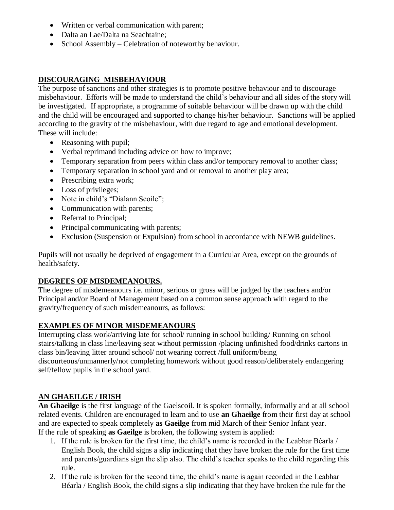- Written or verbal communication with parent;
- Dalta an Lae/Dalta na Seachtaine;
- School Assembly Celebration of noteworthy behaviour.

## **DISCOURAGING MISBEHAVIOUR**

The purpose of sanctions and other strategies is to promote positive behaviour and to discourage misbehaviour. Efforts will be made to understand the child's behaviour and all sides of the story will be investigated. If appropriate, a programme of suitable behaviour will be drawn up with the child and the child will be encouraged and supported to change his/her behaviour. Sanctions will be applied according to the gravity of the misbehaviour, with due regard to age and emotional development. These will include:

- Reasoning with pupil;
- Verbal reprimand including advice on how to improve;
- Temporary separation from peers within class and/or temporary removal to another class;
- Temporary separation in school yard and or removal to another play area;
- Prescribing extra work;
- Loss of privileges;
- Note in child's "Dialann Scoile";
- Communication with parents;
- Referral to Principal;
- Principal communicating with parents;
- Exclusion (Suspension or Expulsion) from school in accordance with NEWB guidelines.

Pupils will not usually be deprived of engagement in a Curricular Area, except on the grounds of health/safety.

#### **DEGREES OF MISDEMEANOURS.**

The degree of misdemeanours i.e. minor, serious or gross will be judged by the teachers and/or Principal and/or Board of Management based on a common sense approach with regard to the gravity/frequency of such misdemeanours, as follows:

## **EXAMPLES OF MINOR MISDEMEANOURS**

Interrupting class work/arriving late for school/ running in school building/ Running on school stairs/talking in class line/leaving seat without permission /placing unfinished food/drinks cartons in class bin/leaving litter around school/ not wearing correct /full uniform/being discourteous/unmannerly/not completing homework without good reason/deliberately endangering self/fellow pupils in the school yard.

## **AN GHAEILGE / IRISH**

**An Ghaeilge** is the first language of the Gaelscoil. It is spoken formally, informally and at all school related events. Children are encouraged to learn and to use **an Ghaeilge** from their first day at school and are expected to speak completely **as Gaeilge** from mid March of their Senior Infant year. If the rule of speaking **as Gaeilge** is broken, the following system is applied:

- 1. If the rule is broken for the first time, the child's name is recorded in the Leabhar Béarla / English Book, the child signs a slip indicating that they have broken the rule for the first time and parents/guardians sign the slip also. The child's teacher speaks to the child regarding this rule.
- 2. If the rule is broken for the second time, the child's name is again recorded in the Leabhar Béarla / English Book, the child signs a slip indicating that they have broken the rule for the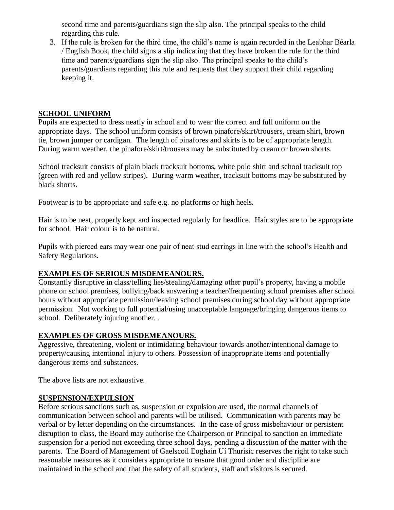second time and parents/guardians sign the slip also. The principal speaks to the child regarding this rule.

3. If the rule is broken for the third time, the child's name is again recorded in the Leabhar Béarla / English Book, the child signs a slip indicating that they have broken the rule for the third time and parents/guardians sign the slip also. The principal speaks to the child's parents/guardians regarding this rule and requests that they support their child regarding keeping it.

#### **SCHOOL UNIFORM**

Pupils are expected to dress neatly in school and to wear the correct and full uniform on the appropriate days. The school uniform consists of brown pinafore/skirt/trousers, cream shirt, brown tie, brown jumper or cardigan. The length of pinafores and skirts is to be of appropriate length. During warm weather, the pinafore/skirt/trousers may be substituted by cream or brown shorts.

School tracksuit consists of plain black tracksuit bottoms, white polo shirt and school tracksuit top (green with red and yellow stripes). During warm weather, tracksuit bottoms may be substituted by black shorts.

Footwear is to be appropriate and safe e.g. no platforms or high heels.

Hair is to be neat, properly kept and inspected regularly for headlice. Hair styles are to be appropriate for school. Hair colour is to be natural.

Pupils with pierced ears may wear one pair of neat stud earrings in line with the school's Health and Safety Regulations.

#### **EXAMPLES OF SERIOUS MISDEMEANOURS.**

Constantly disruptive in class/telling lies/stealing/damaging other pupil's property, having a mobile phone on school premises, bullying/back answering a teacher/frequenting school premises after school hours without appropriate permission/leaving school premises during school day without appropriate permission. Not working to full potential/using unacceptable language/bringing dangerous items to school. Deliberately injuring another. .

#### **EXAMPLES OF GROSS MISDEMEANOURS.**

Aggressive, threatening, violent or intimidating behaviour towards another/intentional damage to property/causing intentional injury to others. Possession of inappropriate items and potentially dangerous items and substances.

The above lists are not exhaustive.

#### **SUSPENSION/EXPULSION**

Before serious sanctions such as, suspension or expulsion are used, the normal channels of communication between school and parents will be utilised. Communication with parents may be verbal or by letter depending on the circumstances. In the case of gross misbehaviour or persistent disruption to class, the Board may authorise the Chairperson or Principal to sanction an immediate suspension for a period not exceeding three school days, pending a discussion of the matter with the parents. The Board of Management of Gaelscoil Eoghain Uí Thurisic reserves the right to take such reasonable measures as it considers appropriate to ensure that good order and discipline are maintained in the school and that the safety of all students, staff and visitors is secured.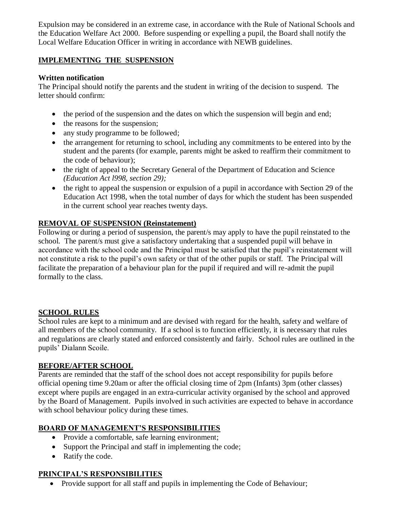Expulsion may be considered in an extreme case, in accordance with the Rule of National Schools and the Education Welfare Act 2000. Before suspending or expelling a pupil, the Board shall notify the Local Welfare Education Officer in writing in accordance with NEWB guidelines.

## **IMPLEMENTING THE SUSPENSION**

## **Written notification**

The Principal should notify the parents and the student in writing of the decision to suspend. The letter should confirm:

- $\bullet$  the period of the suspension and the dates on which the suspension will begin and end;
- the reasons for the suspension;
- any study programme to be followed;
- the arrangement for returning to school, including any commitments to be entered into by the student and the parents (for example, parents might be asked to reaffirm their commitment to the code of behaviour);
- the right of appeal to the Secretary General of the Department of Education and Science *(Education Act l998, section 29);*
- the right to appeal the suspension or expulsion of a pupil in accordance with Section 29 of the Education Act 1998, when the total number of days for which the student has been suspended in the current school year reaches twenty days.

## **REMOVAL OF SUSPENSION (Reinstatement)**

Following or during a period of suspension, the parent/s may apply to have the pupil reinstated to the school. The parent/s must give a satisfactory undertaking that a suspended pupil will behave in accordance with the school code and the Principal must be satisfied that the pupil's reinstatement will not constitute a risk to the pupil's own safety or that of the other pupils or staff. The Principal will facilitate the preparation of a behaviour plan for the pupil if required and will re-admit the pupil formally to the class.

## **SCHOOL RULES**

School rules are kept to a minimum and are devised with regard for the health, safety and welfare of all members of the school community. If a school is to function efficiently, it is necessary that rules and regulations are clearly stated and enforced consistently and fairly. School rules are outlined in the pupils' Dialann Scoile.

## **BEFORE/AFTER SCHOOL**

Parents are reminded that the staff of the school does not accept responsibility for pupils before official opening time 9.20am or after the official closing time of 2pm (Infants) 3pm (other classes) except where pupils are engaged in an extra-curricular activity organised by the school and approved by the Board of Management. Pupils involved in such activities are expected to behave in accordance with school behaviour policy during these times.

## **BOARD OF MANAGEMENT'S RESPONSIBILITIES**

- Provide a comfortable, safe learning environment;
- Support the Principal and staff in implementing the code;
- Ratify the code.

## **PRINCIPAL'S RESPONSIBILITIES**

• Provide support for all staff and pupils in implementing the Code of Behaviour;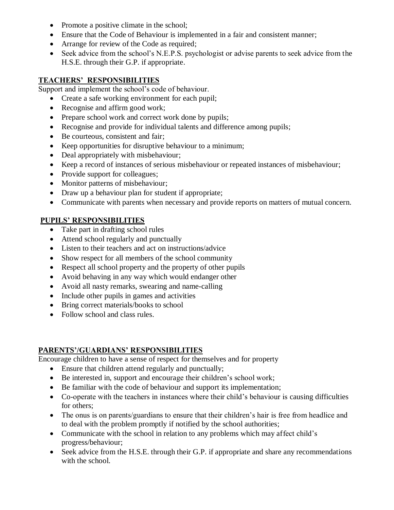- Promote a positive climate in the school;
- Ensure that the Code of Behaviour is implemented in a fair and consistent manner;
- Arrange for review of the Code as required;
- Seek advice from the school's N.E.P.S. psychologist or advise parents to seek advice from the H.S.E. through their G.P. if appropriate.

## **TEACHERS' RESPONSIBILITIES**

Support and implement the school's code of behaviour.

- Create a safe working environment for each pupil;
- Recognise and affirm good work;
- Prepare school work and correct work done by pupils;
- Recognise and provide for individual talents and difference among pupils;
- Be courteous, consistent and fair;
- Keep opportunities for disruptive behaviour to a minimum;
- Deal appropriately with misbehaviour;
- Keep a record of instances of serious misbehaviour or repeated instances of misbehaviour;
- Provide support for colleagues;
- Monitor patterns of misbehaviour;
- Draw up a behaviour plan for student if appropriate;
- Communicate with parents when necessary and provide reports on matters of mutual concern.

## **PUPILS' RESPONSIBILITIES**

- Take part in drafting school rules
- Attend school regularly and punctually
- Listen to their teachers and act on instructions/advice
- Show respect for all members of the school community
- Respect all school property and the property of other pupils
- Avoid behaving in any way which would endanger other
- Avoid all nasty remarks, swearing and name-calling
- Include other pupils in games and activities
- Bring correct materials/books to school
- Follow school and class rules.

## **PARENTS'/GUARDIANS' RESPONSIBILITIES**

Encourage children to have a sense of respect for themselves and for property

- Ensure that children attend regularly and punctually;
- Be interested in, support and encourage their children's school work;
- Be familiar with the code of behaviour and support its implementation;
- Co-operate with the teachers in instances where their child's behaviour is causing difficulties for others;
- The onus is on parents/guardians to ensure that their children's hair is free from headlice and to deal with the problem promptly if notified by the school authorities;
- Communicate with the school in relation to any problems which may affect child's progress/behaviour;
- Seek advice from the H.S.E. through their G.P. if appropriate and share any recommendations with the school.